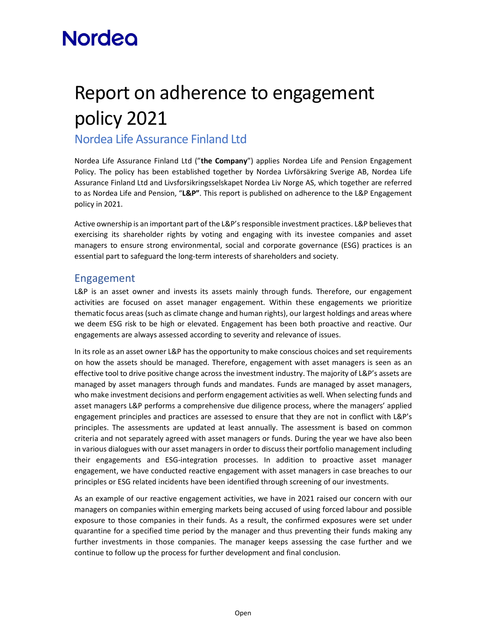# **Nordea**

# Report on adherence to engagement policy 2021

### Nordea Life Assurance Finland Ltd

Nordea Life Assurance Finland Ltd ("the Company") applies Nordea Life and Pension Engagement Policy. The policy has been established together by Nordea Livförsäkring Sverige AB, Nordea Life Assurance Finland Ltd and Livsforsikringsselskapet Nordea Liv Norge AS, which together are referred to as Nordea Life and Pension, "L&P". This report is published on adherence to the L&P Engagement policy in 2021.

Active ownership is an important part of the L&P's responsible investment practices. L&P believes that exercising its shareholder rights by voting and engaging with its investee companies and asset managers to ensure strong environmental, social and corporate governance (ESG) practices is an essential part to safeguard the long-term interests of shareholders and society.

### Engagement

L&P is an asset owner and invests its assets mainly through funds. Therefore, our engagement activities are focused on asset manager engagement. Within these engagements we prioritize thematic focus areas (such as climate change and human rights), our largest holdings and areas where we deem ESG risk to be high or elevated. Engagement has been both proactive and reactive. Our engagements are always assessed according to severity and relevance of issues.

In its role as an asset owner L&P has the opportunity to make conscious choices and set requirements on how the assets should be managed. Therefore, engagement with asset managers is seen as an effective tool to drive positive change across the investment industry. The majority of L&P's assets are managed by asset managers through funds and mandates. Funds are managed by asset managers, who make investment decisions and perform engagement activities as well. When selecting funds and asset managers L&P performs a comprehensive due diligence process, where the managers' applied engagement principles and practices are assessed to ensure that they are not in conflict with L&P's principles. The assessments are updated at least annually. The assessment is based on common criteria and not separately agreed with asset managers or funds. During the year we have also been in various dialogues with our asset managers in order to discuss their portfolio management including their engagements and ESG-integration processes. In addition to proactive asset manager engagement, we have conducted reactive engagement with asset managers in case breaches to our principles or ESG related incidents have been identified through screening of our investments.<br>As an example of our reactive engagement activities, we have in 2021 raised our concern with our

managers on companies within emerging markets being accused of using forced labour and possible exposure to those companies in their funds. As a result, the confirmed exposures were set under quarantine for a specified time period by the manager and thus preventing their funds making any further investments in those companies. The manager keeps assessing the case further and we continue to follow up the process for further development and final conclusion.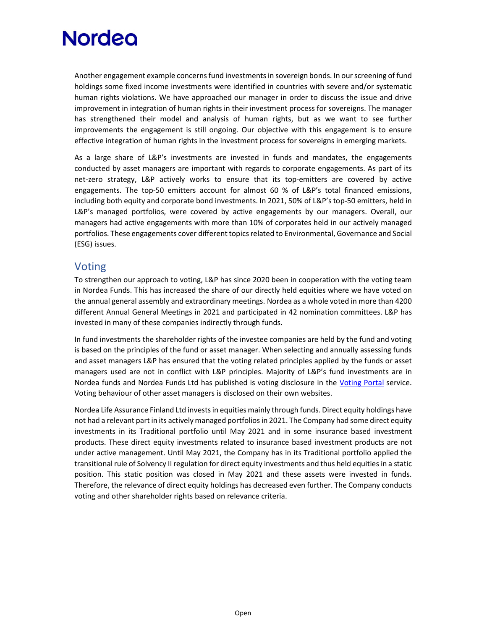## **Nordea**

Another engagement example concerns fund investments in sovereign bonds. In our screening of fund holdings some fixed income investments were identified in countries with severe and/or systematic human rights violations. We have approached our manager in order to discuss the issue and drive improvement in integration of human rights in their investment process for sovereigns. The manager has strengthened their model and analysis of human rights, but as we want to see further improvements the engagement is still ongoing. Our objective with this engagement is to ensure effective integration of human rights in the investment process for sovereigns in emerging markets.

As a large share of L&P's investments are invested in funds and mandates, the engagements conducted by asset managers are important with regards to corporate engagements. As part of its net-zero strategy, L&P actively works to ensure that its top-emitters are covered by active engagements. The top-50 emitters account for almost 60 % of L&P's total financed emissions, including both equity and corporate bond investments. In 2021, 50% of L&P's top-50 emitters, held in L&P's managed portfolios, were covered by active engagements by our managers. Overall, our managers had active engagements with more than 10% of corporates held in our actively managed portfolios. These engagements cover different topics related to Environmental, Governance and Social (ESG) issues.

#### Voting

To strengthen our approach to voting, L&P has since 2020 been in cooperation with the voting team in Nordea Funds. This has increased the share of our directly held equities where we have voted on the annual general assembly and extraordinary meetings. Nordea as a whole voted in more than 4200 different Annual General Meetings in 2021 and participated in 42 nomination committees. L&P has invested in many of these companies indirectly through funds.

In fund investments the shareholder rights of the investee companies are held by the fund and voting is based on the principles of the fund or asset manager. When selecting and annually assessing funds and asset managers L&P has ensured that the voting related principles applied by the funds or asset managers used are not in conflict with L&P principles. Majority of L&P's fund investments are in Nordea funds and Nordea Funds Ltd has published is voting disclosure in the Voting Portal service. Voting behaviour of other asset managers is disclosed on their own websites.

Nordea Life Assurance Finland Ltd invests in equities mainly through funds. Direct equity holdings have not had a relevant part in its actively managed portfolios in 2021. The Company had some direct equity investments in its Traditional portfolio until May 2021 and in some insurance based investment products. These direct equity investments related to insurance based investment products are not under active management. Until May 2021, the Company has in its Traditional portfolio applied the transitional rule of Solvency II regulation for direct equity investments and thus held equities in a static position. This static position was closed in May 2021 and these assets were invested in funds. Therefore, the relevance of direct equity holdings has decreased even further. The Company conducts voting and other shareholder rights based on relevance criteria.